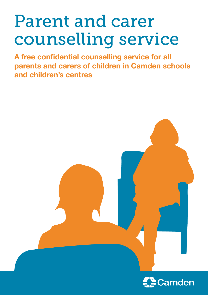# Parent and carer counselling service

**A free confidential counselling service for all parents and carers of children in Camden schools and children's centres**

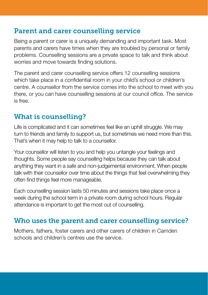## Parent and carer counselling service

Being a parent or carer is a uniquely demanding and important task. Most parents and carers have times when they are troubled by personal or family problems. Counselling sessions are a private space to talk and think about worries and move towards finding solutions.

The parent and carer counselling service offers 12 counselling sessions which take place in a confidential room in your child's school or children's centre. A counsellor from the service comes into the school to meet with you there, or you can have counselling sessions at our council office. The service is free.

# What is counselling?

Life is complicated and it can sometimes feel like an uphill struggle. We may turn to friends and family to support us, but sometimes we need more than this. That's when it may help to talk to a counsellor.

Your counsellor will listen to you and help you untangle your feelings and thoughts. Some people say counselling helps because they can talk about anything they want in a safe and non-judgemental environment. When people talk with their counsellor over time about the things that feel overwhelming they often find things feel more manageable.

Each counselling session lasts 50 minutes and sessions take place once a week during the school term in a private room during school hours. Regular attendance is important to get the most out of counselling.

## Who uses the parent and carer counselling service?

Mothers, fathers, foster carers and other carers of children in Camden schools and children's centres use the service.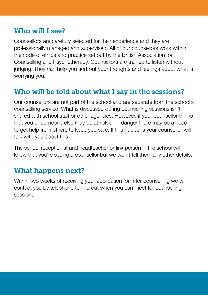## Who will I see?

Counsellors are carefully selected for their experience and they are professionally managed and supervised. All of our counsellors work within the code of ethics and practice set out by the British Association for Counselling and Psychotherapy. Counsellors are trained to listen without judging. They can help you sort out your thoughts and feelings about what is worrying you.

# Who will be told about what I say in the sessions?

Our counsellors are not part of the school and are separate from the school's counselling service. What is discussed during counselling sessions isn't shared with school staff or other agencies. However, if your counsellor thinks that you or someone else may be at risk or in danger there may be a need to get help from others to keep you safe. If this happens your counsellor will talk with you about this.

The school receptionist and headteacher or link person in the school will know that you're seeing a counsellor but we won't tell them any other details.

# What happens next?

Within two weeks of receiving your application form for counselling we will contact you by telephone to find out when you can meet for counselling sessions.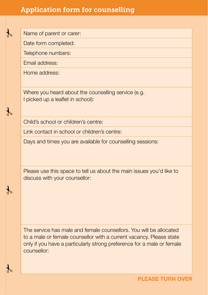## Application form for counselling

Name of parent or carer:

Date form completed:

Telephone numbers:

Email address:

%

%

 $\frac{1}{2}$ 

Home address:

 $\frac{1}{2}$ 

Where you heard about the counselling service (e.g. I picked up a leaflet in school):

Child's school or children's centre:

Link contact in school or children's centre:

Days and times you are available for counselling sessions:

Please use this space to tell us about the main issues you'd like to discuss with your counsellor:

The service has male and female counsellors. You will be allocated to a male or female counsellor with a current vacancy. Please state only if you have a particularly strong preference for a male or female counsellor: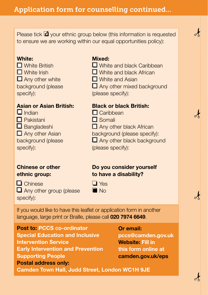Please tick  $\blacksquare$  your ethnic group below (this information is requested to ensure we are working within our equal opportunities policy):

#### **White:**

❏ White British ❏ White Irish □ Any other white background (please specify):

#### **Asian or Asian British:**

❏ Indian

- ❏ Pakistani
- ❏ Bangladeshi
- □ Any other Asian

background (please specify):

#### **Chinese or other ethnic group:**

❏ Chinese ❏ Any other group (please specify):

#### **Mixed:**

- ❏ White and black Caribbean
- ❏ White and black African
- ❏ White and Asian
- □ Any other mixed background
- (please specify):

#### **Black or black British:**

- ❏ Caribbean
- ❏ Somali
- □ Any other black African
- background (please specify):
- □ Any other black background
- (please specify):

#### **Do you consider yourself to have a disability?**

- ❏ Yes
- **D** No

If you would like to have this leaflet or application form in another language, large print or Braille, please call **020 7974 6649**.

**Post to: PCCS co-ordinator Special Education and Inclusive Intervention Service Early Intervention and Prevention Supporting People Postal address only:**

#### **Or email:**

**[pccs@camden.gov.uk](mailt:pccs@camden.gov.uk) Website: Fill in this form online at [camden.gov.uk/eps](http://www.camden.gov.uk/eps)**

 $\frac{1}{2}$ 

 $\frac{1}{2}$ 

 $\frac{1}{2}$ 

 $\frac{1}{2}$ 

**Camden Town Hall, Judd Street, London WC1H 9JE**